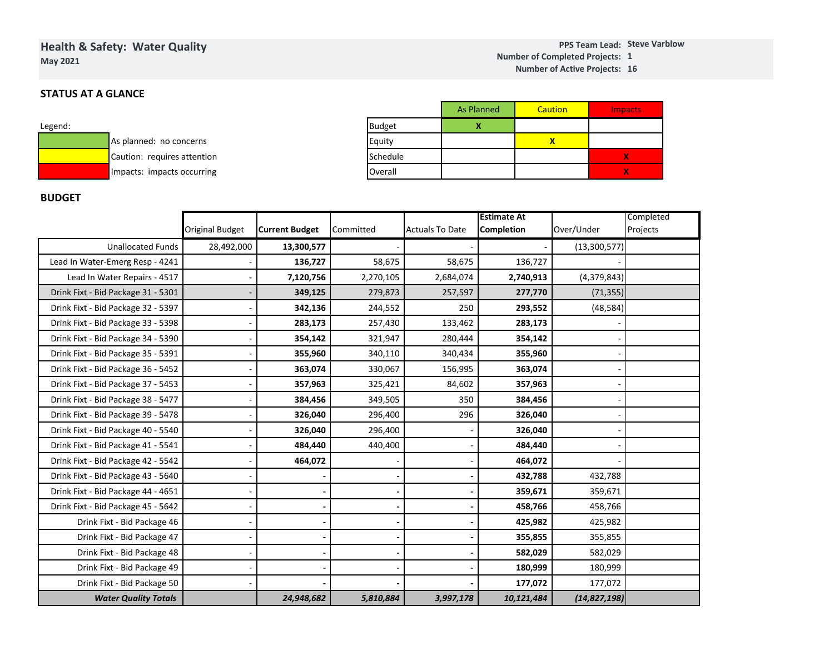# **Health & Safety: Water QualityMay 2021**

#### **Steve VarblowPPS Team Lead:1Number of Completed Projects: 16 Number of Active Projects:**

## **STATUS AT A GLANCE**

| Legend: |                             |
|---------|-----------------------------|
|         | As planned: no concerns     |
|         | Caution: requires attention |
|         | Impacts: impacts occurring  |

|               | <b>As Planned</b> | Caution | <b>Impacts</b> |
|---------------|-------------------|---------|----------------|
| <b>Budget</b> |                   |         |                |
| Equity        |                   |         |                |
| Schedule      |                   |         | X              |
| Overall       |                   |         | X              |

## **BUDGET**

|                                    |                        |                       |           |                        | <b>Estimate At</b> | Completed      |          |  |
|------------------------------------|------------------------|-----------------------|-----------|------------------------|--------------------|----------------|----------|--|
|                                    | <b>Original Budget</b> | <b>Current Budget</b> | Committed | <b>Actuals To Date</b> | <b>Completion</b>  | Over/Under     | Projects |  |
| <b>Unallocated Funds</b>           | 28,492,000             | 13,300,577            |           |                        |                    | (13, 300, 577) |          |  |
| Lead In Water-Emerg Resp - 4241    |                        | 136,727               | 58,675    | 58,675                 | 136,727            |                |          |  |
| Lead In Water Repairs - 4517       |                        | 7,120,756             | 2,270,105 | 2,684,074              | 2,740,913          | (4,379,843)    |          |  |
| Drink Fixt - Bid Package 31 - 5301 |                        | 349,125               | 279,873   | 257,597                | 277,770            | (71, 355)      |          |  |
| Drink Fixt - Bid Package 32 - 5397 |                        | 342,136               | 244,552   | 250                    | 293,552            | (48, 584)      |          |  |
| Drink Fixt - Bid Package 33 - 5398 |                        | 283,173               | 257,430   | 133,462                | 283,173            |                |          |  |
| Drink Fixt - Bid Package 34 - 5390 |                        | 354,142               | 321,947   | 280,444                | 354,142            |                |          |  |
| Drink Fixt - Bid Package 35 - 5391 |                        | 355,960               | 340,110   | 340,434                | 355,960            |                |          |  |
| Drink Fixt - Bid Package 36 - 5452 |                        | 363,074               | 330,067   | 156,995                | 363,074            |                |          |  |
| Drink Fixt - Bid Package 37 - 5453 |                        | 357,963               | 325,421   | 84,602                 | 357,963            |                |          |  |
| Drink Fixt - Bid Package 38 - 5477 |                        | 384,456               | 349,505   | 350                    | 384,456            |                |          |  |
| Drink Fixt - Bid Package 39 - 5478 |                        | 326,040               | 296,400   | 296                    | 326,040            |                |          |  |
| Drink Fixt - Bid Package 40 - 5540 |                        | 326,040               | 296,400   |                        | 326,040            |                |          |  |
| Drink Fixt - Bid Package 41 - 5541 |                        | 484,440               | 440,400   |                        | 484,440            |                |          |  |
| Drink Fixt - Bid Package 42 - 5542 |                        | 464,072               |           |                        | 464,072            |                |          |  |
| Drink Fixt - Bid Package 43 - 5640 |                        |                       |           |                        | 432,788            | 432,788        |          |  |
| Drink Fixt - Bid Package 44 - 4651 |                        |                       |           |                        | 359,671            | 359,671        |          |  |
| Drink Fixt - Bid Package 45 - 5642 |                        |                       |           |                        | 458,766            | 458,766        |          |  |
| Drink Fixt - Bid Package 46        |                        |                       |           |                        | 425,982            | 425,982        |          |  |
| Drink Fixt - Bid Package 47        |                        |                       |           |                        | 355,855            | 355,855        |          |  |
| Drink Fixt - Bid Package 48        |                        |                       |           |                        | 582,029            | 582,029        |          |  |
| Drink Fixt - Bid Package 49        |                        |                       |           |                        | 180,999            | 180,999        |          |  |
| Drink Fixt - Bid Package 50        |                        |                       |           |                        | 177,072            | 177,072        |          |  |
| <b>Water Quality Totals</b>        |                        | 24,948,682            | 5,810,884 | 3,997,178              | 10,121,484         | (14, 827, 198) |          |  |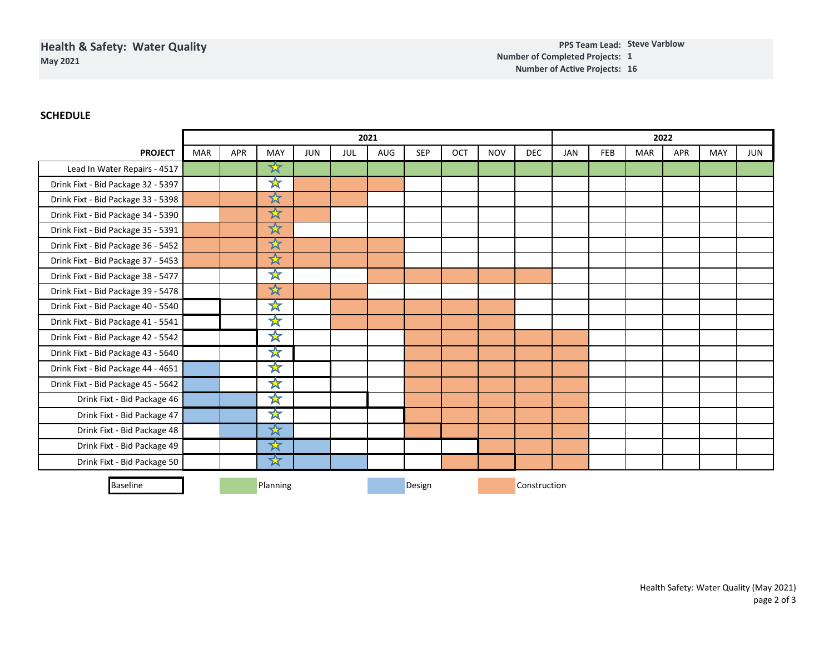## **SCHEDULE**

|                                    | 2021       |            |                      |            |            |     |            |     | 2022         |            |            |            |            |            |            |     |
|------------------------------------|------------|------------|----------------------|------------|------------|-----|------------|-----|--------------|------------|------------|------------|------------|------------|------------|-----|
| <b>PROJECT</b>                     | <b>MAR</b> | <b>APR</b> | <b>MAY</b>           | <b>JUN</b> | <b>JUL</b> | AUG | <b>SEP</b> | OCT | <b>NOV</b>   | <b>DEC</b> | <b>JAN</b> | <b>FEB</b> | <b>MAR</b> | <b>APR</b> | <b>MAY</b> | JUN |
| Lead In Water Repairs - 4517       |            |            | 文                    |            |            |     |            |     |              |            |            |            |            |            |            |     |
| Drink Fixt - Bid Package 32 - 5397 |            |            | ☆                    |            |            |     |            |     |              |            |            |            |            |            |            |     |
| Drink Fixt - Bid Package 33 - 5398 |            |            | ☆                    |            |            |     |            |     |              |            |            |            |            |            |            |     |
| Drink Fixt - Bid Package 34 - 5390 |            |            | ☆                    |            |            |     |            |     |              |            |            |            |            |            |            |     |
| Drink Fixt - Bid Package 35 - 5391 |            |            | $\frac{1}{\sqrt{2}}$ |            |            |     |            |     |              |            |            |            |            |            |            |     |
| Drink Fixt - Bid Package 36 - 5452 |            |            | ☆                    |            |            |     |            |     |              |            |            |            |            |            |            |     |
| Drink Fixt - Bid Package 37 - 5453 |            |            | $\bigstar$           |            |            |     |            |     |              |            |            |            |            |            |            |     |
| Drink Fixt - Bid Package 38 - 5477 |            |            | ☆                    |            |            |     |            |     |              |            |            |            |            |            |            |     |
| Drink Fixt - Bid Package 39 - 5478 |            |            | $\bigstar$           |            |            |     |            |     |              |            |            |            |            |            |            |     |
| Drink Fixt - Bid Package 40 - 5540 |            |            | ₩                    |            |            |     |            |     |              |            |            |            |            |            |            |     |
| Drink Fixt - Bid Package 41 - 5541 |            |            | $\mathbf{x}$         |            |            |     |            |     |              |            |            |            |            |            |            |     |
| Drink Fixt - Bid Package 42 - 5542 |            |            | ╳                    |            |            |     |            |     |              |            |            |            |            |            |            |     |
| Drink Fixt - Bid Package 43 - 5640 |            |            | ₩                    |            |            |     |            |     |              |            |            |            |            |            |            |     |
| Drink Fixt - Bid Package 44 - 4651 |            |            | ☆                    |            |            |     |            |     |              |            |            |            |            |            |            |     |
| Drink Fixt - Bid Package 45 - 5642 |            |            | ᅑ                    |            |            |     |            |     |              |            |            |            |            |            |            |     |
| Drink Fixt - Bid Package 46        |            |            | <del>র</del>         |            |            |     |            |     |              |            |            |            |            |            |            |     |
| Drink Fixt - Bid Package 47        |            |            | <del>র</del>         |            |            |     |            |     |              |            |            |            |            |            |            |     |
| Drink Fixt - Bid Package 48        |            |            | <del>Ҳ</del>         |            |            |     |            |     |              |            |            |            |            |            |            |     |
| Drink Fixt - Bid Package 49        |            |            | ₩                    |            |            |     |            |     |              |            |            |            |            |            |            |     |
| Drink Fixt - Bid Package 50        |            |            | ☆                    |            |            |     |            |     |              |            |            |            |            |            |            |     |
| <b>Baseline</b>                    | Planning   |            |                      |            | Design     |     |            |     | Construction |            |            |            |            |            |            |     |